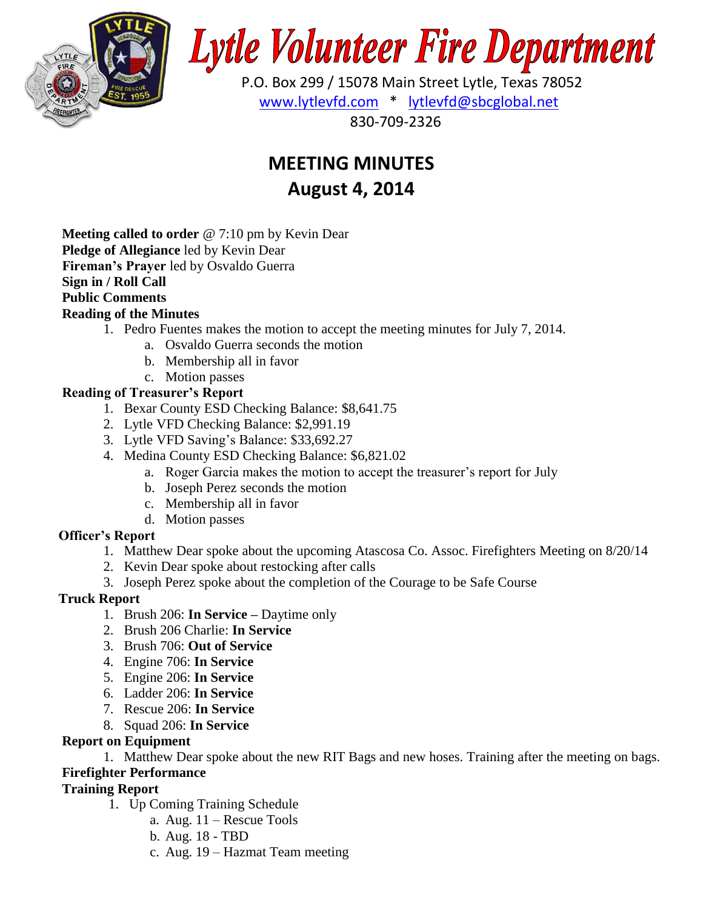

# **Lytle Volunteer Fire Department**

 P.O. Box 299 / 15078 Main Street Lytle, Texas 78052 [www.lytlevfd.com](http://www.lytlevfd.com/) \* [lytlevfd@sbcglobal.net](mailto:lytlevfd@sbcglobal.net) 830-709-2326

# **MEETING MINUTES August 4, 2014**

**Meeting called to order** @ 7:10 pm by Kevin Dear **Pledge of Allegiance** led by Kevin Dear **Fireman's Prayer** led by Osvaldo Guerra **Sign in / Roll Call Public Comments Reading of the Minutes**

- 1. Pedro Fuentes makes the motion to accept the meeting minutes for July 7, 2014.
	- a. Osvaldo Guerra seconds the motion
	- b. Membership all in favor
	- c. Motion passes

# **Reading of Treasurer's Report**

- 1. Bexar County ESD Checking Balance: \$8,641.75
- 2. Lytle VFD Checking Balance: \$2,991.19
- 3. Lytle VFD Saving's Balance: \$33,692.27
- 4. Medina County ESD Checking Balance: \$6,821.02
	- a. Roger Garcia makes the motion to accept the treasurer's report for July
	- b. Joseph Perez seconds the motion
	- c. Membership all in favor
	- d. Motion passes

# **Officer's Report**

- 1. Matthew Dear spoke about the upcoming Atascosa Co. Assoc. Firefighters Meeting on 8/20/14
- 2. Kevin Dear spoke about restocking after calls
- 3. Joseph Perez spoke about the completion of the Courage to be Safe Course

# **Truck Report**

- 1. Brush 206: **In Service –** Daytime only
- 2. Brush 206 Charlie: **In Service**
- 3. Brush 706: **Out of Service**
- 4. Engine 706: **In Service**
- 5. Engine 206: **In Service**
- 6. Ladder 206: **In Service**
- 7. Rescue 206: **In Service**
- 8. Squad 206: **In Service**

# **Report on Equipment**

1. Matthew Dear spoke about the new RIT Bags and new hoses. Training after the meeting on bags.

# **Firefighter Performance**

# **Training Report**

- 1. Up Coming Training Schedule
	- a. Aug. 11 Rescue Tools
	- b. Aug. 18 TBD
	- c. Aug. 19 Hazmat Team meeting